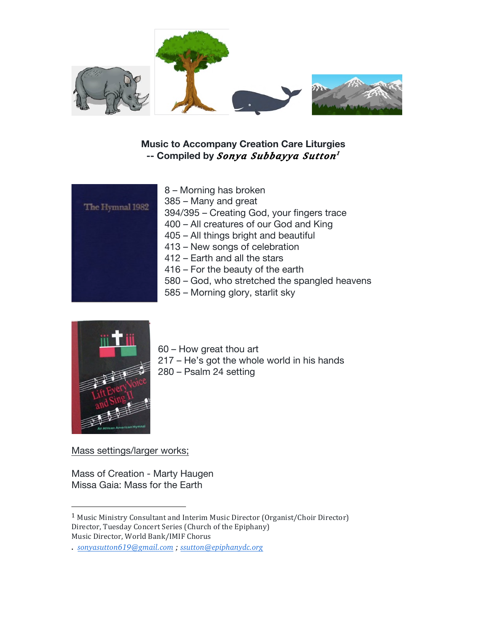

## **Music to Accompany Creation Care Liturgies -- Compiled by** *Sonya Subbayya Sutton1*

|                 | ŏ۰             |
|-----------------|----------------|
| The Hymnal 1982 | 38             |
|                 | 39             |
|                 | 4 <sub>0</sub> |
|                 | 4 <sub>0</sub> |
|                 | 41             |
|                 | 41             |
|                 | 41             |
|                 | 58             |
|                 | 58             |
|                 |                |

– Morning has broken 385 – Many and great 394/395 – Creating God, your fingers trace 400 – All creatures of our God and King 05 – All things bright and beautiful 413 – New songs of celebration 2 – Earth and all the stars  $6$  – For the beauty of the earth 580 – God, who stretched the spangled heavens 585 – Morning glory, starlit sky



60 – How great thou art 217 – He's got the whole world in his hands 280 – Psalm 24 setting

Mass settings/larger works;

 

Mass of Creation - Marty Haugen Missa Gaia: Mass for the Earth

<sup>&</sup>lt;sup>1</sup> Music Ministry Consultant and Interim Music Director (Organist/Choir Director) Director, Tuesday Concert Series (Church of the Epiphany) Music Director, World Bank/IMIF Chorus

<sup>.</sup> *sonyasutton619@gmail.com ; ssutton@epiphanydc.org*